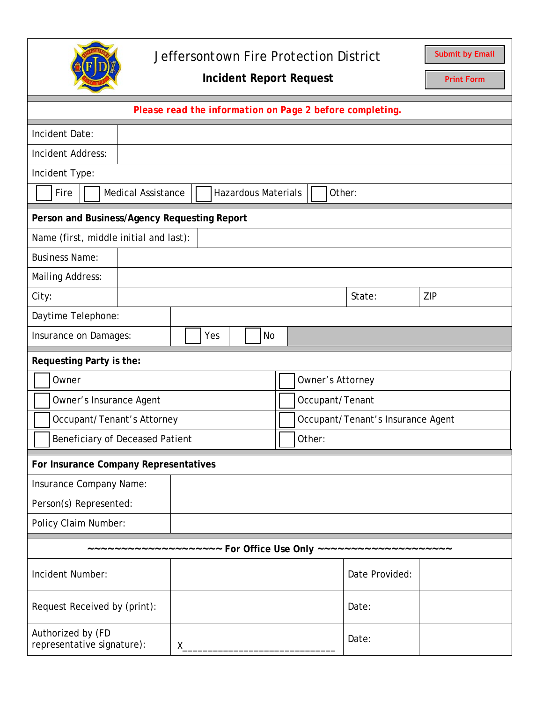

## Jeffersontown Fire Protection District

**Submit by Email**

**Incident Report Request**

**Print Form**

| Please read the information on Page 2 before completing.                  |  |  |     |  |                 |                                   |       |        |     |
|---------------------------------------------------------------------------|--|--|-----|--|-----------------|-----------------------------------|-------|--------|-----|
| Incident Date:                                                            |  |  |     |  |                 |                                   |       |        |     |
| Incident Address:                                                         |  |  |     |  |                 |                                   |       |        |     |
| Incident Type:                                                            |  |  |     |  |                 |                                   |       |        |     |
| Fire<br><b>Medical Assistance</b><br><b>Hazardous Materials</b><br>Other: |  |  |     |  |                 |                                   |       |        |     |
| Person and Business/Agency Requesting Report                              |  |  |     |  |                 |                                   |       |        |     |
| Name (first, middle initial and last):                                    |  |  |     |  |                 |                                   |       |        |     |
| <b>Business Name:</b>                                                     |  |  |     |  |                 |                                   |       |        |     |
| <b>Mailing Address:</b>                                                   |  |  |     |  |                 |                                   |       |        |     |
| City:                                                                     |  |  |     |  |                 |                                   |       | State: | ZIP |
| Daytime Telephone:                                                        |  |  |     |  |                 |                                   |       |        |     |
| Insurance on Damages:                                                     |  |  | Yes |  | <b>No</b>       |                                   |       |        |     |
| Requesting Party is the:                                                  |  |  |     |  |                 |                                   |       |        |     |
| Owner                                                                     |  |  |     |  |                 | Owner's Attorney                  |       |        |     |
| Owner's Insurance Agent                                                   |  |  |     |  | Occupant/Tenant |                                   |       |        |     |
| Occupant/Tenant's Attorney                                                |  |  |     |  |                 | Occupant/Tenant's Insurance Agent |       |        |     |
| Beneficiary of Deceased Patient                                           |  |  |     |  | Other:          |                                   |       |        |     |
| For Insurance Company Representatives                                     |  |  |     |  |                 |                                   |       |        |     |
| Insurance Company Name:                                                   |  |  |     |  |                 |                                   |       |        |     |
| Person(s) Represented:                                                    |  |  |     |  |                 |                                   |       |        |     |
| Policy Claim Number:                                                      |  |  |     |  |                 |                                   |       |        |     |
| ----------- For Office Use Only ---                                       |  |  |     |  |                 |                                   |       |        |     |
| Incident Number:                                                          |  |  |     |  |                 | Date Provided:                    |       |        |     |
| Request Received by (print):                                              |  |  |     |  |                 |                                   | Date: |        |     |
| Authorized by (FD<br>representative signature):<br>$X_{-}$                |  |  |     |  |                 | Date:                             |       |        |     |